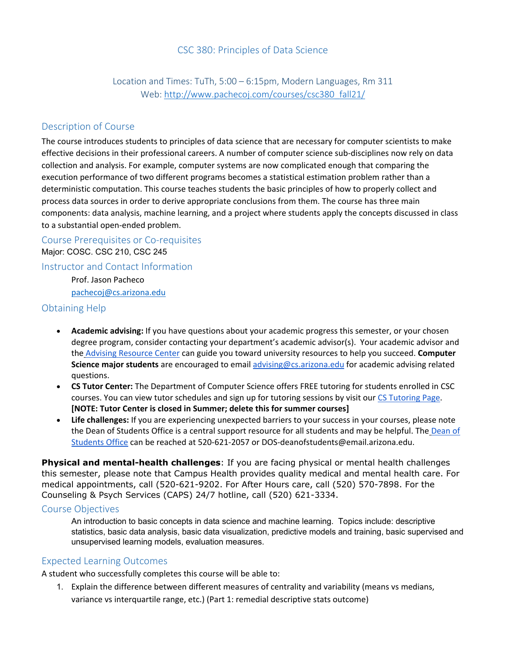# CSC 380: Principles of Data Science

Location and Times: TuTh, 5:00 – 6:15pm, Modern Languages, Rm 311 Web[: http://www.pachecoj.com/courses/csc380\\_fall21/](http://www.pachecoj.com/courses/csc380_fall21/)

## Description of Course

The course introduces students to principles of data science that are necessary for computer scientists to make effective decisions in their professional careers. A number of computer science sub-disciplines now rely on data collection and analysis. For example, computer systems are now complicated enough that comparing the execution performance of two different programs becomes a statistical estimation problem rather than a deterministic computation. This course teaches students the basic principles of how to properly collect and process data sources in order to derive appropriate conclusions from them. The course has three main components: data analysis, machine learning, and a project where students apply the concepts discussed in class to a substantial open-ended problem.

Course Prerequisites or Co-requisites

Major: COSC. CSC 210, CSC 245

Instructor and Contact Information Prof. Jason Pacheco

[pachecoj@cs.arizona.edu](mailto:pachecoj@cs.arizona.edu)

## Obtaining Help

- **Academic advising:** If you have questions about your academic progress this semester, or your chosen degree program, consider contacting your department's academic advisor(s). Your academic advisor and the [Advising Resource Center](https://advising.arizona.edu/) can guide you toward university resources to help you succeed. **Computer Science major students** are encouraged to email [advising@cs.arizona.edu](mailto:advising@cs.arizona.edu) for academic advising related questions.
- **CS Tutor Center:** The Department of Computer Science offers FREE tutoring for students enrolled in CSC courses. You can view tutor schedules and sign up for tutoring sessions by visit our [CS Tutoring Page.](https://www.cs.arizona.edu/undergraduate/student-support/tutoring) **[NOTE: Tutor Center is closed in Summer; delete this for summer courses]**
- **Life challenges:** If you are experiencing unexpected barriers to your success in your courses, please note the Dean of Students Office is a central support resource for all students and may be helpful. The [Dean of](https://deanofstudents.arizona.edu/)  [Students Office](https://deanofstudents.arizona.edu/) can be reached at 520-621-2057 or DOS-deanofstudents@email.arizona.edu.

**Physical and mental-health challenges**: If you are facing physical or mental health challenges this semester, please note that Campus Health provides quality medical and mental health care. For medical appointments, call (520-621-9202. For After Hours care, call (520) 570-7898. For the Counseling & Psych Services (CAPS) 24/7 hotline, call (520) 621-3334.

## Course Objectives

An introduction to basic concepts in data science and machine learning. Topics include: descriptive statistics, basic data analysis, basic data visualization, predictive models and training, basic supervised and unsupervised learning models, evaluation measures.

## Expected Learning Outcomes

A student who successfully completes this course will be able to:

1. Explain the difference between different measures of centrality and variability (means vs medians, variance vs interquartile range, etc.) (Part 1: remedial descriptive stats outcome)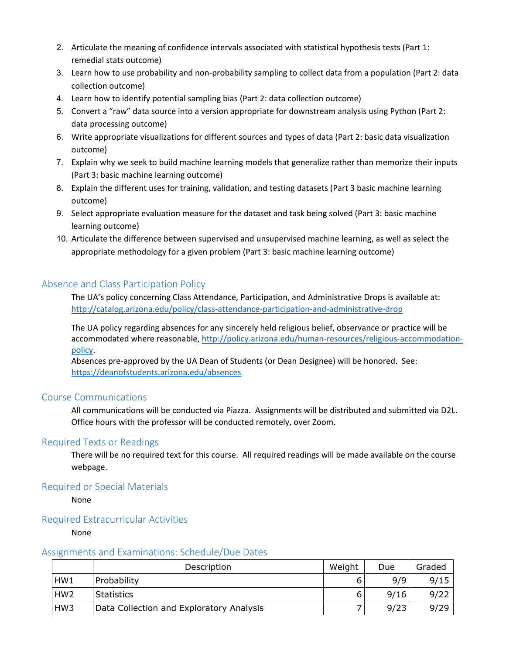- 2. Articulate the meaning of confidence intervals associated with statistical hypothesis tests (Part 1: remedial stats outcome)
- 3. Learn how to use probability and non-probability sampling to collect data from a population (Part 2: data collection outcome)
- 4. Learn how to identify potential sampling bias (Part 2: data collection outcome)
- 5. Convert a "raw" data source into a version appropriate for downstream analysis using Python (Part 2: data processing outcome)
- 6. Write appropriate visualizations for different sources and types of data (Part 2: basic data visualization outcome)
- 7. Explain why we seek to build machine learning models that generalize rather than memorize their inputs (Part 3: basic machine learning outcome)
- 8. Explain the different uses for training, validation, and testing datasets (Part 3 basic machine learning outcome)
- 9. Select appropriate evaluation measure for the dataset and task being solved (Part 3: basic machine learning outcome)
- 10. Articulate the difference between supervised and unsupervised machine learning, as well as select the appropriate methodology for a given problem (Part 3: basic machine learning outcome[\)](http://policy.arizona.edu/sites/default/files/uploads/Course-Learning-Outcomes.pdf)

# Absence and Class Participation Policy

The UA's policy concerning Class Attendance, Participation, and Administrative Drops is available at: <http://catalog.arizona.edu/policy/class-attendance-participation-and-administrative-drop>

The UA policy regarding absences for any sincerely held religious belief, observance or practice will be accommodated where reasonable, [http://policy.arizona.edu/human-resources/religious-accommodation](http://policy.arizona.edu/human-resources/religious-accommodation-policy)[policy.](http://policy.arizona.edu/human-resources/religious-accommodation-policy)

Absences pre-approved by the UA Dean of Students (or Dean Designee) will be honored. See: <https://deanofstudents.arizona.edu/absences>

## Course Communications

All communications will be conducted via Piazza. Assignments will be distributed and submitted via D2L. Office hours with the professor will be conducted remotely, over Zoom.

## Required Texts or Readings

There will be no required text for this course. All required readings will be made available on the course webpage.

## Required or Special Materials

None

## Required Extracurricular Activities

None

#### Assignments and Examinations: Schedule/Due Dates

|                 | Description                              | Weight | Due  | Graded |
|-----------------|------------------------------------------|--------|------|--------|
| HW1             | Probability                              |        | 9/9  | 9/15   |
| HW <sub>2</sub> | <b>Statistics</b>                        |        | 9/16 | 9/22   |
| HW <sub>3</sub> | Data Collection and Exploratory Analysis |        | 9/23 | 9/29   |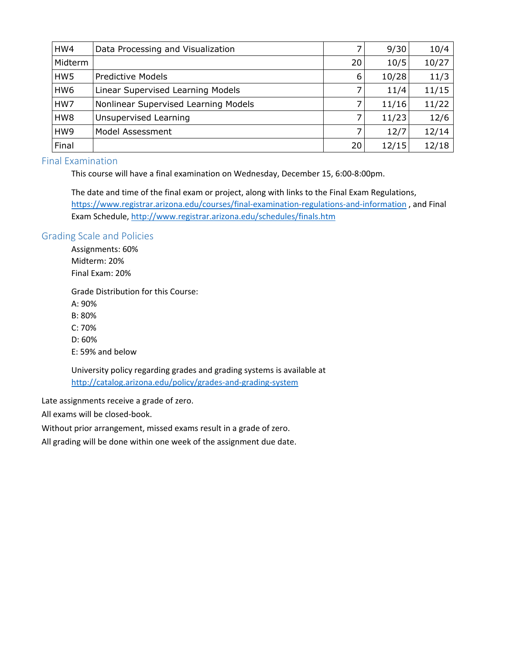| HW4             | Data Processing and Visualization    |    | 9/30  | 10/4  |
|-----------------|--------------------------------------|----|-------|-------|
| Midterm         |                                      | 20 | 10/5  | 10/27 |
| HW <sub>5</sub> | <b>Predictive Models</b>             | 6  | 10/28 | 11/3  |
| HW <sub>6</sub> | Linear Supervised Learning Models    |    | 11/4  | 11/15 |
| HW7             | Nonlinear Supervised Learning Models |    | 11/16 | 11/22 |
| HW8             | Unsupervised Learning                |    | 11/23 | 12/6  |
| HW9             | Model Assessment                     |    | 12/7  | 12/14 |
| Final           |                                      | 20 | 12/15 | 12/18 |

## Final Examination

This course will have a final examination on Wednesday, December 15, 6:00-8:00pm.

The date and time of the final exam or project, along with links to the Final Exam Regulations, <https://www.registrar.arizona.edu/courses/final-examination-regulations-and-information> , and Final Exam Schedule,<http://www.registrar.arizona.edu/schedules/finals.htm>

### Grading Scale and Policies

Assignments: 60% Midterm: 20% Final Exam: 20%

Grade Distribution for this Course:

A: 90%

B: 80%

C: 70%

D: 60%

E: 59% and below

University policy regarding grades and grading systems is available at <http://catalog.arizona.edu/policy/grades-and-grading-system>

Late assignments receive a grade of zero.

All exams will be closed-book.

Without prior arrangement, missed exams result in a grade of zero.

All grading will be done within one week of the assignment due date.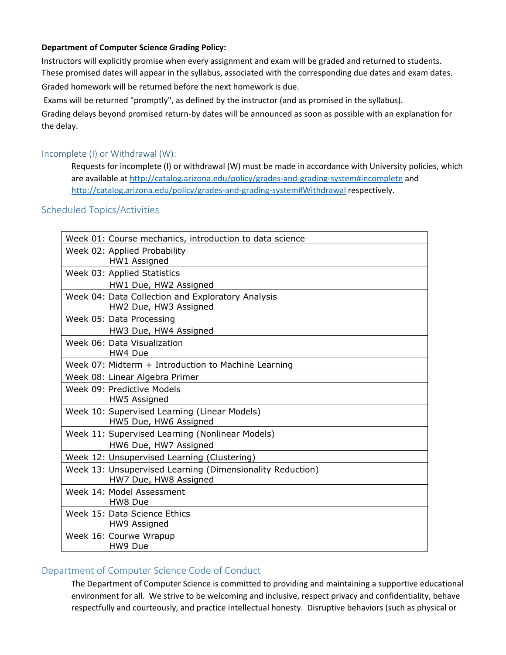### **Department of Computer Science Grading Policy:**

Instructors will explicitly promise when every assignment and exam will be graded and returned to students. These promised dates will appear in the syllabus, associated with the corresponding due dates and exam dates. Graded homework will be returned before the next homework is due.

Exams will be returned "promptly", as defined by the instructor (and as promised in the syllabus).

Grading delays beyond promised return-by dates will be announced as soon as possible with an explanation for the delay.

### Incomplete (I) or Withdrawal (W):

Requests for incomplete (I) or withdrawal (W) must be made in accordance with University policies, which are available at<http://catalog.arizona.edu/policy/grades-and-grading-system#incomplete> and <http://catalog.arizona.edu/policy/grades-and-grading-system#Withdrawal> respectively.

## Scheduled Topics/Activities

| Week 01: Course mechanics, introduction to data science                            |
|------------------------------------------------------------------------------------|
|                                                                                    |
| Week 02: Applied Probability<br>HW1 Assigned                                       |
| Week 03: Applied Statistics                                                        |
| HW1 Due, HW2 Assigned                                                              |
| Week 04: Data Collection and Exploratory Analysis<br>HW2 Due, HW3 Assigned         |
| Week 05: Data Processing                                                           |
| HW3 Due, HW4 Assigned                                                              |
| Week 06: Data Visualization<br>HW4 Due                                             |
| Week 07: Midterm + Introduction to Machine Learning                                |
| Week 08: Linear Algebra Primer                                                     |
| Week 09: Predictive Models<br>HW5 Assigned                                         |
| Week 10: Supervised Learning (Linear Models)<br>HW5 Due, HW6 Assigned              |
| Week 11: Supervised Learning (Nonlinear Models)                                    |
| HW6 Due, HW7 Assigned                                                              |
| Week 12: Unsupervised Learning (Clustering)                                        |
| Week 13: Unsupervised Learning (Dimensionality Reduction)<br>HW7 Due, HW8 Assigned |
| Week 14: Model Assessment<br>HW8 Due                                               |
| Week 15: Data Science Ethics<br>HW9 Assigned                                       |
| Week 16: Courwe Wrapup<br>HW9 Due                                                  |

## Department of Computer Science Code of Conduct

The Department of Computer Science is committed to providing and maintaining a supportive educational environment for all. We strive to be welcoming and inclusive, respect privacy and confidentiality, behave respectfully and courteously, and practice intellectual honesty. Disruptive behaviors (such as physical or